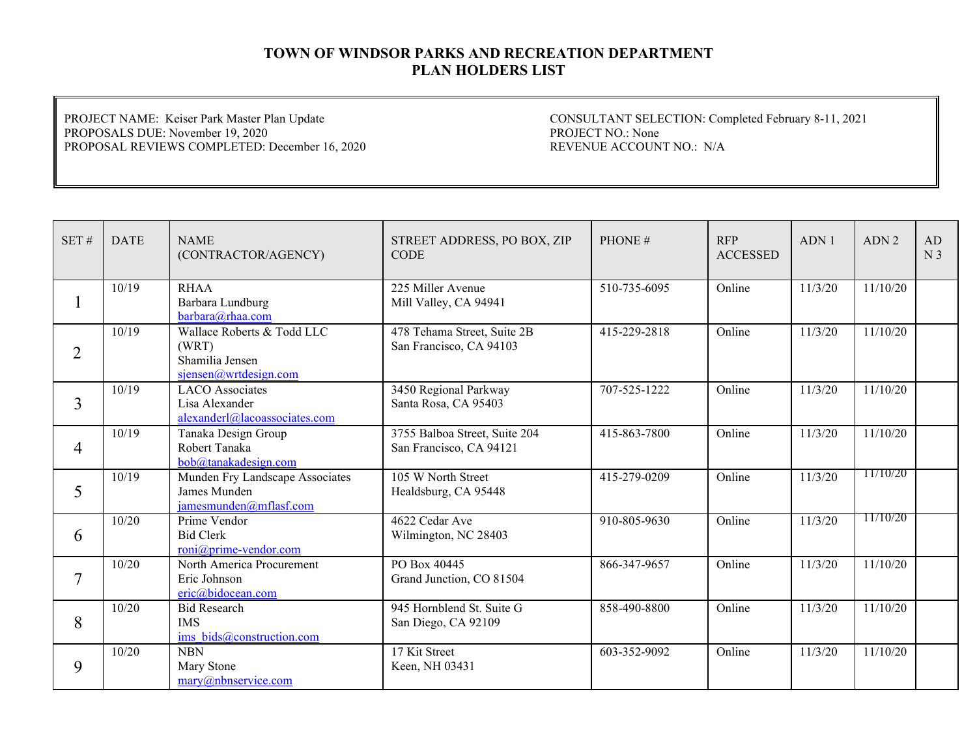PROJECT NAME: Keiser Park Master Plan Update PROPOSALS DUE: November 19, 2020 PROPOSAL REVIEWS COMPLETED: December 16, 2020

| SET#           | <b>DATE</b> | <b>NAME</b><br>(CONTRACTOR/AGENCY)                                              | STREET ADDRESS, PO BOX, ZIP<br><b>CODE</b>               | PHONE#       | <b>RFP</b><br><b>ACCESSED</b> | ADN1    | ADN <sub>2</sub> | AD<br>N <sub>3</sub> |
|----------------|-------------|---------------------------------------------------------------------------------|----------------------------------------------------------|--------------|-------------------------------|---------|------------------|----------------------|
| -1             | 10/19       | <b>RHAA</b><br>Barbara Lundburg<br>barbara@rhaa.com                             | 225 Miller Avenue<br>Mill Valley, CA 94941               | 510-735-6095 | Online                        | 11/3/20 | 11/10/20         |                      |
| $\overline{2}$ | 10/19       | Wallace Roberts & Todd LLC<br>(WRT)<br>Shamilia Jensen<br>sjensen@wrtdesign.com | 478 Tehama Street, Suite 2B<br>San Francisco, CA 94103   | 415-229-2818 | Online                        | 11/3/20 | 11/10/20         |                      |
| 3              | 10/19       | <b>LACO</b> Associates<br>Lisa Alexander<br>alexanderl@lacoassociates.com       | 3450 Regional Parkway<br>Santa Rosa, CA 95403            | 707-525-1222 | Online                        | 11/3/20 | 11/10/20         |                      |
| $\overline{4}$ | 10/19       | Tanaka Design Group<br>Robert Tanaka<br>bob@tanakadesign.com                    | 3755 Balboa Street, Suite 204<br>San Francisco, CA 94121 | 415-863-7800 | Online                        | 11/3/20 | 11/10/20         |                      |
| 5              | 10/19       | Munden Fry Landscape Associates<br>James Munden<br>jamesmunden@mflasf.com       | 105 W North Street<br>Healdsburg, CA 95448               | 415-279-0209 | Online                        | 11/3/20 | 11/10/20         |                      |
| 6              | 10/20       | Prime Vendor<br><b>Bid Clerk</b><br>roni@prime-vendor.com                       | 4622 Cedar Ave<br>Wilmington, NC 28403                   | 910-805-9630 | Online                        | 11/3/20 | 11/10/20         |                      |
| $\overline{7}$ | 10/20       | North America Procurement<br>Eric Johnson<br>eric@bidocean.com                  | PO Box 40445<br>Grand Junction, CO 81504                 | 866-347-9657 | Online                        | 11/3/20 | 11/10/20         |                      |
| 8              | 10/20       | <b>Bid Research</b><br><b>IMS</b><br>ims bids@construction.com                  | 945 Hornblend St. Suite G<br>San Diego, CA 92109         | 858-490-8800 | Online                        | 11/3/20 | 11/10/20         |                      |
| 9              | 10/20       | <b>NBN</b><br>Mary Stone<br>$\text{marv}(a)$ nbnservice.com                     | 17 Kit Street<br>Keen, NH 03431                          | 603-352-9092 | Online                        | 11/3/20 | 11/10/20         |                      |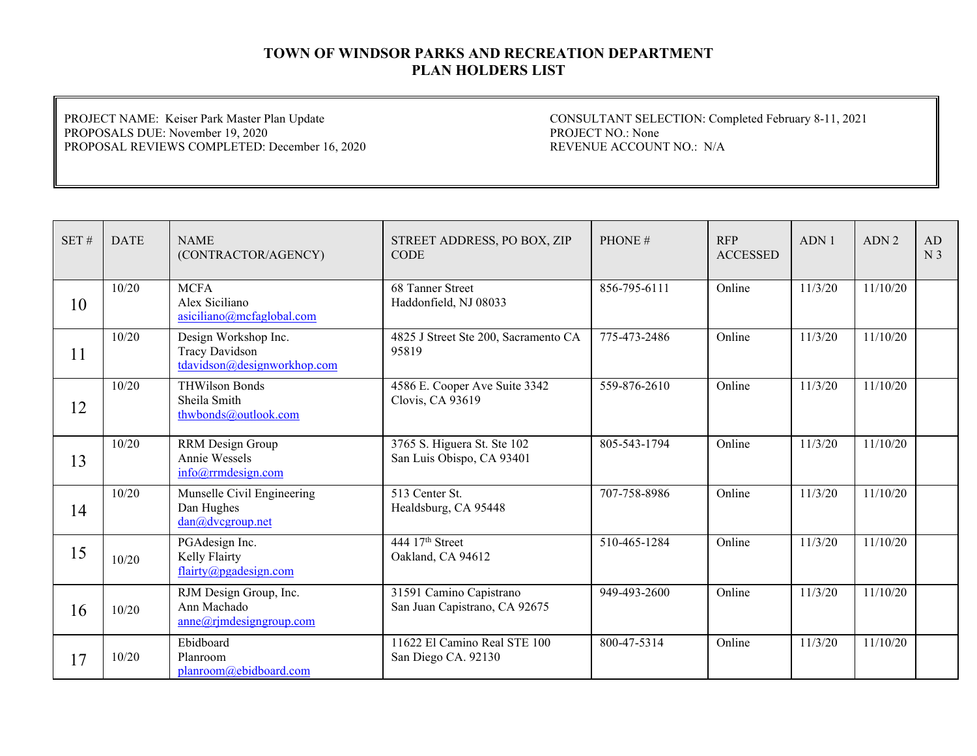PROJECT NAME: Keiser Park Master Plan Update PROPOSALS DUE: November 19, 2020 PROPOSAL REVIEWS COMPLETED: December 16, 2020

| SET# | <b>DATE</b> | <b>NAME</b><br>(CONTRACTOR/AGENCY)                                    | STREET ADDRESS, PO BOX, ZIP<br><b>CODE</b>               | PHONE#       | <b>RFP</b><br><b>ACCESSED</b> | ADN1    | ADN <sub>2</sub> | AD<br>N <sub>3</sub> |
|------|-------------|-----------------------------------------------------------------------|----------------------------------------------------------|--------------|-------------------------------|---------|------------------|----------------------|
| 10   | 10/20       | <b>MCFA</b><br>Alex Siciliano<br>asiciliano@mcfaglobal.com            | 68 Tanner Street<br>Haddonfield, NJ 08033                | 856-795-6111 | Online                        | 11/3/20 | 11/10/20         |                      |
| 11   | 10/20       | Design Workshop Inc.<br>Tracy Davidson<br>tdavidson@designworkhop.com | 4825 J Street Ste 200, Sacramento CA<br>95819            | 775-473-2486 | Online                        | 11/3/20 | 11/10/20         |                      |
| 12   | 10/20       | <b>THWilson Bonds</b><br>Sheila Smith<br>thwbonds@outlook.com         | 4586 E. Cooper Ave Suite 3342<br>Clovis, CA 93619        | 559-876-2610 | Online                        | 11/3/20 | 11/10/20         |                      |
| 13   | 10/20       | RRM Design Group<br>Annie Wessels<br>info@rrmdesign.com               | 3765 S. Higuera St. Ste 102<br>San Luis Obispo, CA 93401 | 805-543-1794 | Online                        | 11/3/20 | 11/10/20         |                      |
| 14   | 10/20       | Munselle Civil Engineering<br>Dan Hughes<br>dan@dvcgroup.net          | 513 Center St.<br>Healdsburg, CA 95448                   | 707-758-8986 | Online                        | 11/3/20 | 11/10/20         |                      |
| 15   | 10/20       | PGAdesign Inc.<br>Kelly Flairty<br>flairty@pgadesign.com              | 444 17 <sup>th</sup> Street<br>Oakland, CA 94612         | 510-465-1284 | Online                        | 11/3/20 | 11/10/20         |                      |
| 16   | 10/20       | RJM Design Group, Inc.<br>Ann Machado<br>$anne@r$ jmdesigngroup.com   | 31591 Camino Capistrano<br>San Juan Capistrano, CA 92675 | 949-493-2600 | Online                        | 11/3/20 | 11/10/20         |                      |
| 17   | 10/20       | Ebidboard<br>Planroom<br>planroom@ebidboard.com                       | 11622 El Camino Real STE 100<br>San Diego CA. 92130      | 800-47-5314  | Online                        | 11/3/20 | 11/10/20         |                      |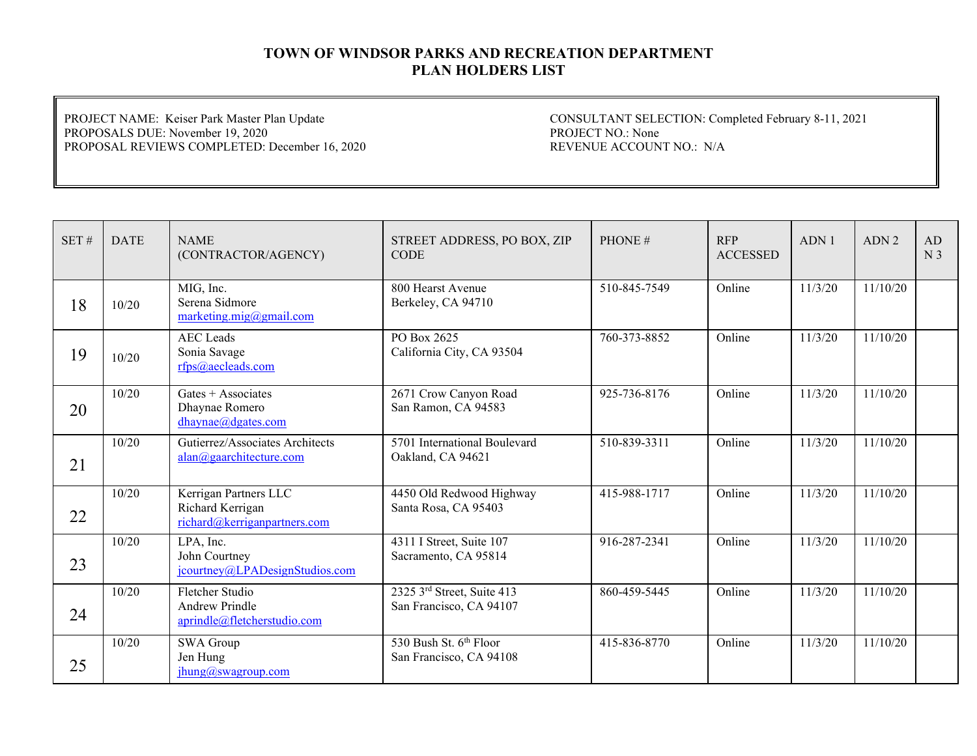PROJECT NAME: Keiser Park Master Plan Update PROPOSALS DUE: November 19, 2020 PROPOSAL REVIEWS COMPLETED: December 16, 2020

| SET# | <b>DATE</b> | <b>NAME</b><br>(CONTRACTOR/AGENCY)                                        | STREET ADDRESS, PO BOX, ZIP<br><b>CODE</b>            | PHONE#       | <b>RFP</b><br><b>ACCESSED</b> | ADN1    | ADN <sub>2</sub> | AD<br>N <sub>3</sub> |
|------|-------------|---------------------------------------------------------------------------|-------------------------------------------------------|--------------|-------------------------------|---------|------------------|----------------------|
| 18   | 10/20       | MIG, Inc.<br>Serena Sidmore<br>marketing.mig@gmail.com                    | 800 Hearst Avenue<br>Berkeley, CA 94710               | 510-845-7549 | Online                        | 11/3/20 | 11/10/20         |                      |
| 19   | 10/20       | <b>AEC</b> Leads<br>Sonia Savage<br>rfps@aecleads.com                     | PO Box 2625<br>California City, CA 93504              | 760-373-8852 | Online                        | 11/3/20 | 11/10/20         |                      |
| 20   | 10/20       | Gates $+$ Associates<br>Dhaynae Romero<br>dhaynae@dgates.com              | 2671 Crow Canyon Road<br>San Ramon, CA 94583          | 925-736-8176 | Online                        | 11/3/20 | 11/10/20         |                      |
| 21   | 10/20       | Gutierrez/Associates Architects<br>alan@gaarchitecture.com                | 5701 International Boulevard<br>Oakland, CA 94621     | 510-839-3311 | Online                        | 11/3/20 | 11/10/20         |                      |
| 22   | 10/20       | Kerrigan Partners LLC<br>Richard Kerrigan<br>richard@kerriganpartners.com | 4450 Old Redwood Highway<br>Santa Rosa, CA 95403      | 415-988-1717 | Online                        | 11/3/20 | 11/10/20         |                      |
| 23   | 10/20       | LPA, Inc.<br>John Courtney<br>jcourtney@LPADesignStudios.com              | 4311 I Street, Suite 107<br>Sacramento, CA 95814      | 916-287-2341 | Online                        | 11/3/20 | 11/10/20         |                      |
| 24   | 10/20       | Fletcher Studio<br><b>Andrew Prindle</b><br>aprindle@fletcherstudio.com   | 2325 3rd Street, Suite 413<br>San Francisco, CA 94107 | 860-459-5445 | Online                        | 11/3/20 | 11/10/20         |                      |
| 25   | 10/20       | SWA Group<br>Jen Hung<br>jhung@swagroup.com                               | 530 Bush St. 6th Floor<br>San Francisco, CA 94108     | 415-836-8770 | Online                        | 11/3/20 | 11/10/20         |                      |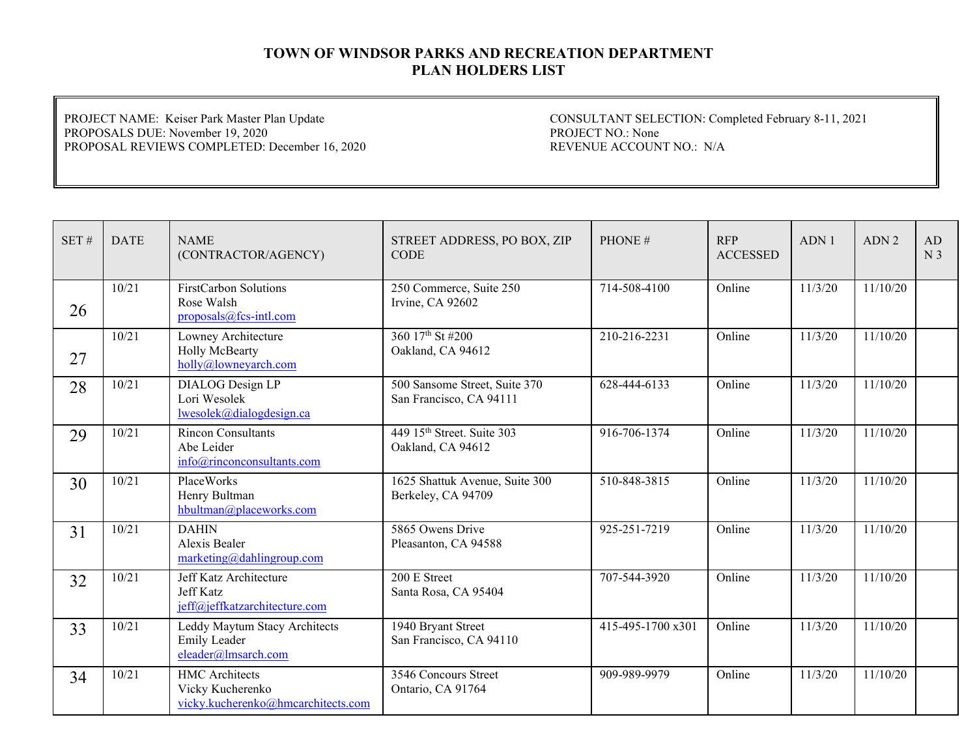PROJECT NAME: Keiser Park Master Plan Update PROPOSALS DUE: November 19, 2020 PROPOSAL REVIEWS COMPLETED: December 16, 2020

| SET# | <b>DATE</b> | <b>NAME</b><br>(CONTRACTOR/AGENCY)                                              | STREET ADDRESS, PO BOX, ZIP<br><b>CODE</b>                  | PHONE#            | <b>RFP</b><br><b>ACCESSED</b> | ADN1    | ADN <sub>2</sub> | AD<br>N <sub>3</sub> |
|------|-------------|---------------------------------------------------------------------------------|-------------------------------------------------------------|-------------------|-------------------------------|---------|------------------|----------------------|
| 26   | 10/21       | <b>FirstCarbon Solutions</b><br>Rose Walsh<br>proposals@fcs-intl.com            | 250 Commerce, Suite 250<br>Irvine, CA 92602                 | 714-508-4100      | Online                        | 11/3/20 | 11/10/20         |                      |
| 27   | 10/21       | Lowney Architecture<br>Holly McBearty<br>holly@lowneyarch.com                   | 360 17th St #200<br>Oakland, CA 94612                       | 210-216-2231      | Online                        | 11/3/20 | 11/10/20         |                      |
| 28   | 10/21       | <b>DIALOG</b> Design LP<br>Lori Wesolek<br>lwesolek@dialogdesign.ca             | 500 Sansome Street, Suite 370<br>San Francisco, CA 94111    | 628-444-6133      | Online                        | 11/3/20 | 11/10/20         |                      |
| 29   | 10/21       | <b>Rincon Consultants</b><br>Abe Leider<br>info@rinconconsultants.com           | 449 15 <sup>th</sup> Street. Suite 303<br>Oakland, CA 94612 | 916-706-1374      | Online                        | 11/3/20 | 11/10/20         |                      |
| 30   | 10/21       | PlaceWorks<br>Henry Bultman<br>hbultman@placeworks.com                          | 1625 Shattuk Avenue, Suite 300<br>Berkeley, CA 94709        | 510-848-3815      | Online                        | 11/3/20 | 11/10/20         |                      |
| 31   | 10/21       | <b>DAHIN</b><br>Alexis Bealer<br>marketing@dahlingroup.com                      | 5865 Owens Drive<br>Pleasanton, CA 94588                    | 925-251-7219      | Online                        | 11/3/20 | 11/10/20         |                      |
| 32   | 10/21       | Jeff Katz Architecture<br>Jeff Katz<br>jeff@jeffkatzarchitecture.com            | 200 E Street<br>Santa Rosa, CA 95404                        | 707-544-3920      | Online                        | 11/3/20 | 11/10/20         |                      |
| 33   | 10/21       | Leddy Maytum Stacy Architects<br><b>Emily Leader</b><br>eleader@lmsarch.com     | 1940 Bryant Street<br>San Francisco, CA 94110               | 415-495-1700 x301 | Online                        | 11/3/20 | 11/10/20         |                      |
| 34   | 10/21       | <b>HMC</b> Architects<br>Vicky Kucherenko<br>vicky.kucherenko@hmcarchitects.com | 3546 Concours Street<br>Ontario, CA 91764                   | 909-989-9979      | Online                        | 11/3/20 | 11/10/20         |                      |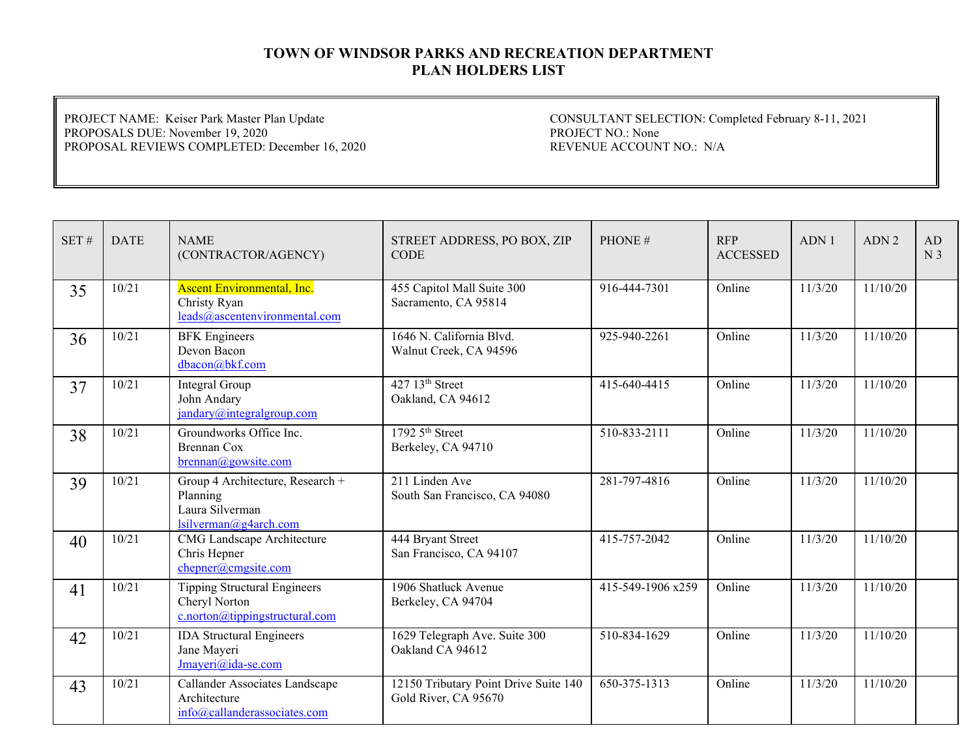PROJECT NAME: Keiser Park Master Plan Update PROPOSALS DUE: November 19, 2020 PROPOSAL REVIEWS COMPLETED: December 16, 2020

| SET# | <b>DATE</b> | <b>NAME</b><br>(CONTRACTOR/AGENCY)                                                       | STREET ADDRESS, PO BOX, ZIP<br><b>CODE</b>                    | PHONE#            | <b>RFP</b><br><b>ACCESSED</b> | ADN 1   | ADN <sub>2</sub> | AD<br>N <sub>3</sub> |
|------|-------------|------------------------------------------------------------------------------------------|---------------------------------------------------------------|-------------------|-------------------------------|---------|------------------|----------------------|
| 35   | 10/21       | <b>Ascent Environmental, Inc.</b><br>Christy Ryan<br>leads@ascentenvironmental.com       | 455 Capitol Mall Suite 300<br>Sacramento, CA 95814            | 916-444-7301      | Online                        | 11/3/20 | 11/10/20         |                      |
| 36   | 10/21       | <b>BFK</b> Engineers<br>Devon Bacon<br>dbacon@bkf.com                                    | 1646 N. California Blvd.<br>Walnut Creek, CA 94596            | 925-940-2261      | Online                        | 11/3/20 | 11/10/20         |                      |
| 37   | 10/21       | Integral Group<br>John Andary<br>jandary@integralgroup.com                               | 427 13 <sup>th</sup> Street<br>Oakland, CA 94612              | 415-640-4415      | Online                        | 11/3/20 | 11/10/20         |                      |
| 38   | 10/21       | Groundworks Office Inc.<br><b>Brennan Cox</b><br>brennan@gowsite.com                     | 1792 5 <sup>th</sup> Street<br>Berkeley, CA 94710             | 510-833-2111      | Online                        | 11/3/20 | 11/10/20         |                      |
| 39   | 10/21       | Group 4 Architecture, Research +<br>Planning<br>Laura Silverman<br>lsilverman@g4arch.com | 211 Linden Ave<br>South San Francisco, CA 94080               | 281-797-4816      | Online                        | 11/3/20 | 11/10/20         |                      |
| 40   | 10/21       | <b>CMG</b> Landscape Architecture<br>Chris Hepner<br>chepner@cmgsite.com                 | 444 Bryant Street<br>San Francisco, CA 94107                  | 415-757-2042      | Online                        | 11/3/20 | 11/10/20         |                      |
| 41   | 10/21       | <b>Tipping Structural Engineers</b><br>Cheryl Norton<br>c.norton@tipping structural.com  | 1906 Shatluck Avenue<br>Berkeley, CA 94704                    | 415-549-1906 x259 | Online                        | 11/3/20 | 11/10/20         |                      |
| 42   | 10/21       | <b>IDA Structural Engineers</b><br>Jane Mayeri<br>Jmayeri@ida-se.com                     | 1629 Telegraph Ave. Suite 300<br>Oakland CA 94612             | 510-834-1629      | Online                        | 11/3/20 | 11/10/20         |                      |
| 43   | 10/21       | Callander Associates Landscape<br>Architecture<br>info@callanderassociates.com           | 12150 Tributary Point Drive Suite 140<br>Gold River, CA 95670 | 650-375-1313      | Online                        | 11/3/20 | 11/10/20         |                      |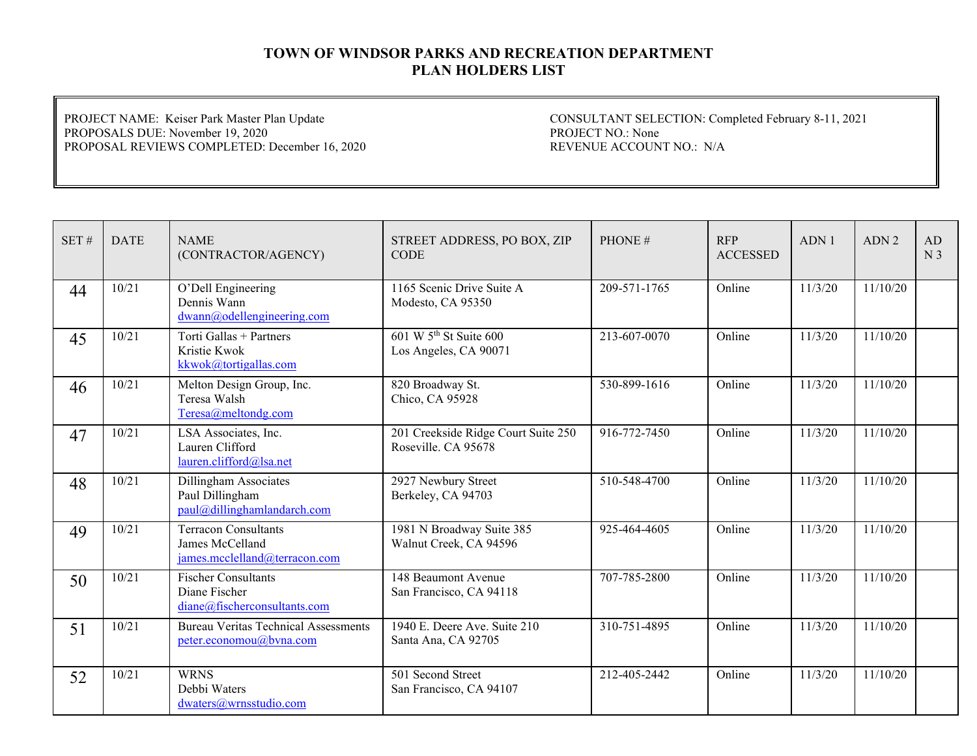PROJECT NAME: Keiser Park Master Plan Update PROPOSALS DUE: November 19, 2020 PROPOSAL REVIEWS COMPLETED: December 16, 2020

| SET# | <b>DATE</b> | <b>NAME</b><br>(CONTRACTOR/AGENCY)                                          | STREET ADDRESS, PO BOX, ZIP<br><b>CODE</b>                  | PHONE#       | <b>RFP</b><br><b>ACCESSED</b> | ADN1    | ADN <sub>2</sub> | AD<br>N <sub>3</sub> |
|------|-------------|-----------------------------------------------------------------------------|-------------------------------------------------------------|--------------|-------------------------------|---------|------------------|----------------------|
| 44   | 10/21       | O'Dell Engineering<br>Dennis Wann<br>dwann@odellengineering.com             | 1165 Scenic Drive Suite A<br>Modesto, CA 95350              | 209-571-1765 | Online                        | 11/3/20 | 11/10/20         |                      |
| 45   | 10/21       | Torti Gallas + Partners<br>Kristie Kwok<br>kkwok@tortigallas.com            | 601 W 5 <sup>th</sup> St Suite 600<br>Los Angeles, CA 90071 | 213-607-0070 | Online                        | 11/3/20 | 11/10/20         |                      |
| 46   | 10/21       | Melton Design Group, Inc.<br>Teresa Walsh<br>Teresa@meltondg.com            | 820 Broadway St.<br>Chico, CA 95928                         | 530-899-1616 | Online                        | 11/3/20 | 11/10/20         |                      |
| 47   | 10/21       | LSA Associates, Inc.<br>Lauren Clifford<br>lauren.clifford@lsa.net          | 201 Creekside Ridge Court Suite 250<br>Roseville, CA 95678  | 916-772-7450 | Online                        | 11/3/20 | 11/10/20         |                      |
| 48   | 10/21       | Dillingham Associates<br>Paul Dillingham<br>paul@dillinghamlandarch.com     | 2927 Newbury Street<br>Berkeley, CA 94703                   | 510-548-4700 | Online                        | 11/3/20 | 11/10/20         |                      |
| 49   | 10/21       | Terracon Consultants<br>James McCelland<br>james.mcclelland@terracon.com    | 1981 N Broadway Suite 385<br>Walnut Creek, CA 94596         | 925-464-4605 | Online                        | 11/3/20 | 11/10/20         |                      |
| 50   | 10/21       | <b>Fischer Consultants</b><br>Diane Fischer<br>diane@fischerconsultants.com | 148 Beaumont Avenue<br>San Francisco, CA 94118              | 707-785-2800 | Online                        | 11/3/20 | 11/10/20         |                      |
| 51   | 10/21       | <b>Bureau Veritas Technical Assessments</b><br>peter.economou@bvna.com      | 1940 E. Deere Ave. Suite 210<br>Santa Ana, CA 92705         | 310-751-4895 | Online                        | 11/3/20 | 11/10/20         |                      |
| 52   | 10/21       | <b>WRNS</b><br>Debbi Waters<br>dwaters@wrnsstudio.com                       | 501 Second Street<br>San Francisco, CA 94107                | 212-405-2442 | Online                        | 11/3/20 | 11/10/20         |                      |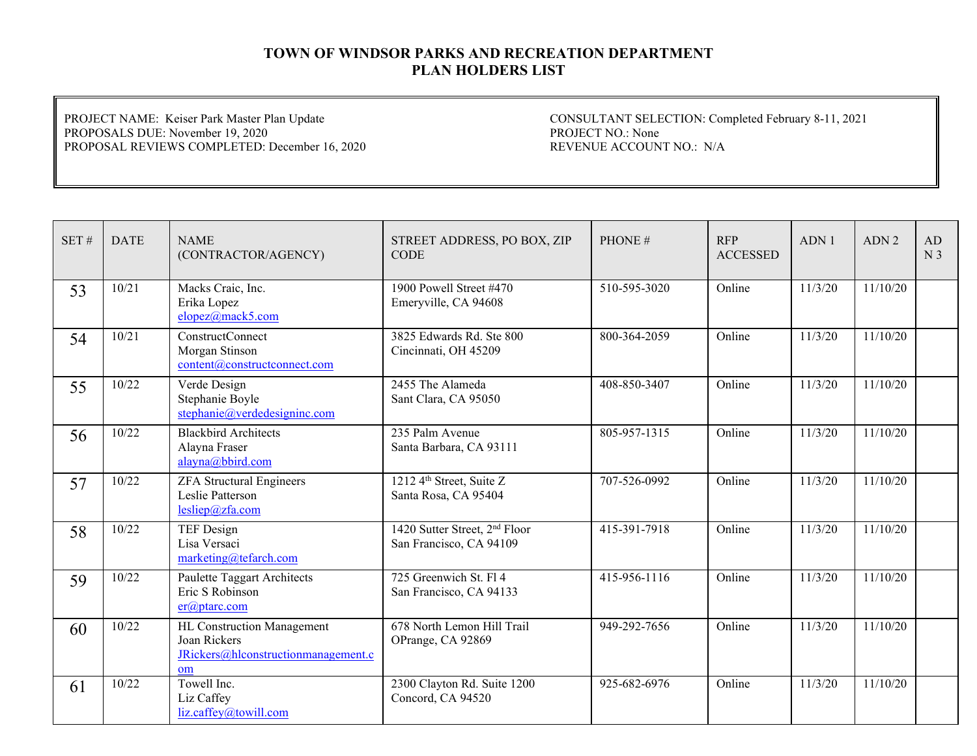PROJECT NAME: Keiser Park Master Plan Update PROPOSALS DUE: November 19, 2020 PROPOSAL REVIEWS COMPLETED: December 16, 2020

| SET# | <b>DATE</b> | <b>NAME</b><br>(CONTRACTOR/AGENCY)                                                      | STREET ADDRESS, PO BOX, ZIP<br><b>CODE</b>                           | PHONE#       | <b>RFP</b><br><b>ACCESSED</b> | ADN1    | ADN <sub>2</sub> | AD<br>N <sub>3</sub> |
|------|-------------|-----------------------------------------------------------------------------------------|----------------------------------------------------------------------|--------------|-------------------------------|---------|------------------|----------------------|
| 53   | 10/21       | Macks Craic, Inc.<br>Erika Lopez<br>elopez@mack5.com                                    | 1900 Powell Street #470<br>Emeryville, CA 94608                      | 510-595-3020 | Online                        | 11/3/20 | 11/10/20         |                      |
| 54   | 10/21       | <b>ConstructConnect</b><br>Morgan Stinson<br>content@constructconnect.com               | 3825 Edwards Rd. Ste 800<br>Cincinnati, OH 45209                     | 800-364-2059 | Online                        | 11/3/20 | 11/10/20         |                      |
| 55   | 10/22       | Verde Design<br>Stephanie Boyle<br>stephanie@verdedesigninc.com                         | 2455 The Alameda<br>Sant Clara, CA 95050                             | 408-850-3407 | Online                        | 11/3/20 | 11/10/20         |                      |
| 56   | 10/22       | <b>Blackbird Architects</b><br>Alayna Fraser<br>alayna@bbird.com                        | 235 Palm Avenue<br>Santa Barbara, CA 93111                           | 805-957-1315 | Online                        | 11/3/20 | 11/10/20         |                      |
| 57   | 10/22       | <b>ZFA Structural Engineers</b><br>Leslie Patterson<br>lesliep@zfa.com                  | 1212 4 <sup>th</sup> Street, Suite Z<br>Santa Rosa, CA 95404         | 707-526-0992 | Online                        | 11/3/20 | 11/10/20         |                      |
| 58   | 10/22       | <b>TEF Design</b><br>Lisa Versaci<br>marketing@tefarch.com                              | 1420 Sutter Street, 2 <sup>nd</sup> Floor<br>San Francisco, CA 94109 | 415-391-7918 | Online                        | 11/3/20 | 11/10/20         |                      |
| 59   | 10/22       | Paulette Taggart Architects<br>Eric S Robinson<br>$er(\omega)$ ptarc.com                | 725 Greenwich St. Fl 4<br>San Francisco, CA 94133                    | 415-956-1116 | Online                        | 11/3/20 | 11/10/20         |                      |
| 60   | 10/22       | HL Construction Management<br>Joan Rickers<br>JRickers@hlconstructionmanagement.c<br>om | 678 North Lemon Hill Trail<br>OPrange, CA 92869                      | 949-292-7656 | Online                        | 11/3/20 | 11/10/20         |                      |
| 61   | 10/22       | Towell Inc.<br>Liz Caffey<br>liz.caffey@towill.com                                      | 2300 Clayton Rd. Suite 1200<br>Concord, CA 94520                     | 925-682-6976 | Online                        | 11/3/20 | 11/10/20         |                      |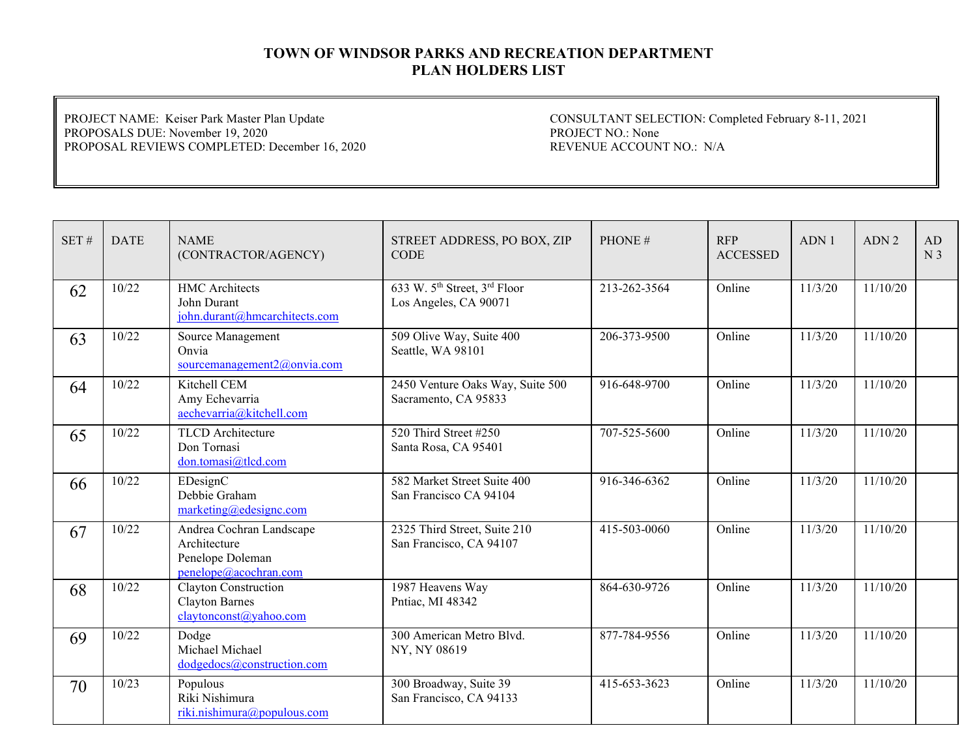PROJECT NAME: Keiser Park Master Plan Update PROPOSALS DUE: November 19, 2020 PROPOSAL REVIEWS COMPLETED: December 16, 2020

| SET# | <b>DATE</b> | <b>NAME</b><br>(CONTRACTOR/AGENCY)                                                    | STREET ADDRESS, PO BOX, ZIP<br><b>CODE</b>                                    | PHONE#       | <b>RFP</b><br><b>ACCESSED</b> | ADN1    | ADN <sub>2</sub> | AD<br>N <sub>3</sub> |
|------|-------------|---------------------------------------------------------------------------------------|-------------------------------------------------------------------------------|--------------|-------------------------------|---------|------------------|----------------------|
| 62   | 10/22       | <b>HMC</b> Architects<br>John Durant<br>john.durant@hmcarchitects.com                 | 633 W. 5 <sup>th</sup> Street, 3 <sup>rd</sup> Floor<br>Los Angeles, CA 90071 | 213-262-3564 | Online                        | 11/3/20 | 11/10/20         |                      |
| 63   | 10/22       | Source Management<br>Onvia<br>sourcemanagement2@onvia.com                             | 509 Olive Way, Suite 400<br>Seattle, WA 98101                                 | 206-373-9500 | Online                        | 11/3/20 | 11/10/20         |                      |
| 64   | 10/22       | Kitchell CEM<br>Amy Echevarria<br>aechevarria@kitchell.com                            | 2450 Venture Oaks Way, Suite 500<br>Sacramento, CA 95833                      | 916-648-9700 | Online                        | 11/3/20 | 11/10/20         |                      |
| 65   | 10/22       | <b>TLCD</b> Architecture<br>Don Tornasi<br>don.tomasi@tlcd.com                        | 520 Third Street #250<br>Santa Rosa, CA 95401                                 | 707-525-5600 | Online                        | 11/3/20 | 11/10/20         |                      |
| 66   | 10/22       | EDesignC<br>Debbie Graham<br>marketing@edesignc.com                                   | 582 Market Street Suite 400<br>San Francisco CA 94104                         | 916-346-6362 | Online                        | 11/3/20 | 11/10/20         |                      |
| 67   | 10/22       | Andrea Cochran Landscape<br>Architecture<br>Penelope Doleman<br>penelope@acochran.com | 2325 Third Street, Suite 210<br>San Francisco, CA 94107                       | 415-503-0060 | Online                        | 11/3/20 | 11/10/20         |                      |
| 68   | 10/22       | Clayton Construction<br>Clayton Barnes<br>claytonconst@yahoo.com                      | 1987 Heavens Way<br>Pntiac, MI 48342                                          | 864-630-9726 | Online                        | 11/3/20 | 11/10/20         |                      |
| 69   | 10/22       | Dodge<br>Michael Michael<br>dodgedocs@construction.com                                | 300 American Metro Blvd.<br>NY, NY 08619                                      | 877-784-9556 | Online                        | 11/3/20 | 11/10/20         |                      |
| 70   | 10/23       | Populous<br>Riki Nishimura<br>riki.nishimura@populous.com                             | 300 Broadway, Suite 39<br>San Francisco, CA 94133                             | 415-653-3623 | Online                        | 11/3/20 | 11/10/20         |                      |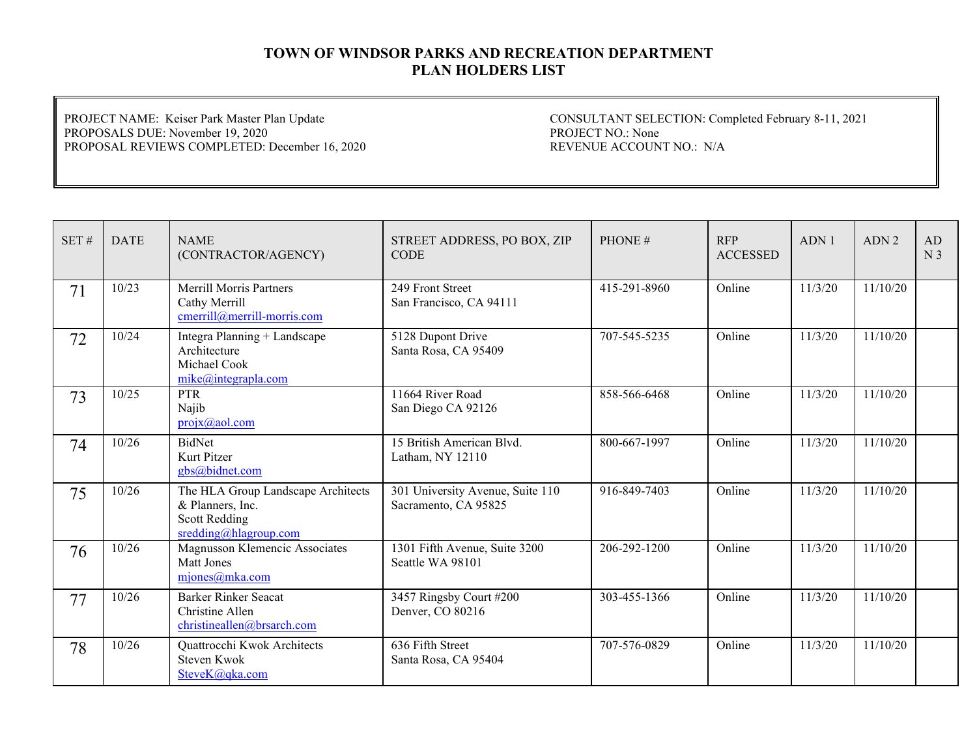PROJECT NAME: Keiser Park Master Plan Update PROPOSALS DUE: November 19, 2020 PROPOSAL REVIEWS COMPLETED: December 16, 2020

| SET# | <b>DATE</b> | <b>NAME</b><br>(CONTRACTOR/AGENCY)                                                                      | STREET ADDRESS, PO BOX, ZIP<br><b>CODE</b>               | PHONE#       | <b>RFP</b><br><b>ACCESSED</b> | ADN 1   | ADN <sub>2</sub> | AD.<br>N <sub>3</sub> |
|------|-------------|---------------------------------------------------------------------------------------------------------|----------------------------------------------------------|--------------|-------------------------------|---------|------------------|-----------------------|
| 71   | 10/23       | <b>Merrill Morris Partners</b><br>Cathy Merrill<br>cmerrill@merrill-morris.com                          | 249 Front Street<br>San Francisco, CA 94111              | 415-291-8960 | Online                        | 11/3/20 | 11/10/20         |                       |
| 72   | 10/24       | Integra Planning + Landscape<br>Architecture<br>Michael Cook<br>mike@integrapha.com                     | 5128 Dupont Drive<br>Santa Rosa, CA 95409                | 707-545-5235 | Online                        | 11/3/20 | 11/10/20         |                       |
| 73   | 10/25       | <b>PTR</b><br>Najib<br>$projx(a)$ aol.com                                                               | 11664 River Road<br>San Diego CA 92126                   | 858-566-6468 | Online                        | 11/3/20 | 11/10/20         |                       |
| 74   | 10/26       | BidNet<br>Kurt Pitzer<br>gbs@bidnet.com                                                                 | 15 British American Blvd.<br>Latham, NY 12110            | 800-667-1997 | Online                        | 11/3/20 | 11/10/20         |                       |
| 75   | 10/26       | The HLA Group Landscape Architects<br>& Planners, Inc.<br><b>Scott Redding</b><br>sredding@hlagroup.com | 301 University Avenue, Suite 110<br>Sacramento, CA 95825 | 916-849-7403 | Online                        | 11/3/20 | 11/10/20         |                       |
| 76   | 10/26       | Magnusson Klemencic Associates<br>Matt Jones<br>mjones@mka.com                                          | 1301 Fifth Avenue, Suite 3200<br>Seattle WA 98101        | 206-292-1200 | Online                        | 11/3/20 | 11/10/20         |                       |
| 77   | 10/26       | <b>Barker Rinker Seacat</b><br>Christine Allen<br>christineallen@brsarch.com                            | 3457 Ringsby Court #200<br>Denver, CO 80216              | 303-455-1366 | Online                        | 11/3/20 | 11/10/20         |                       |
| 78   | 10/26       | Quattrocchi Kwok Architects<br>Steven Kwok<br>SteveK@qka.com                                            | 636 Fifth Street<br>Santa Rosa, CA 95404                 | 707-576-0829 | Online                        | 11/3/20 | 11/10/20         |                       |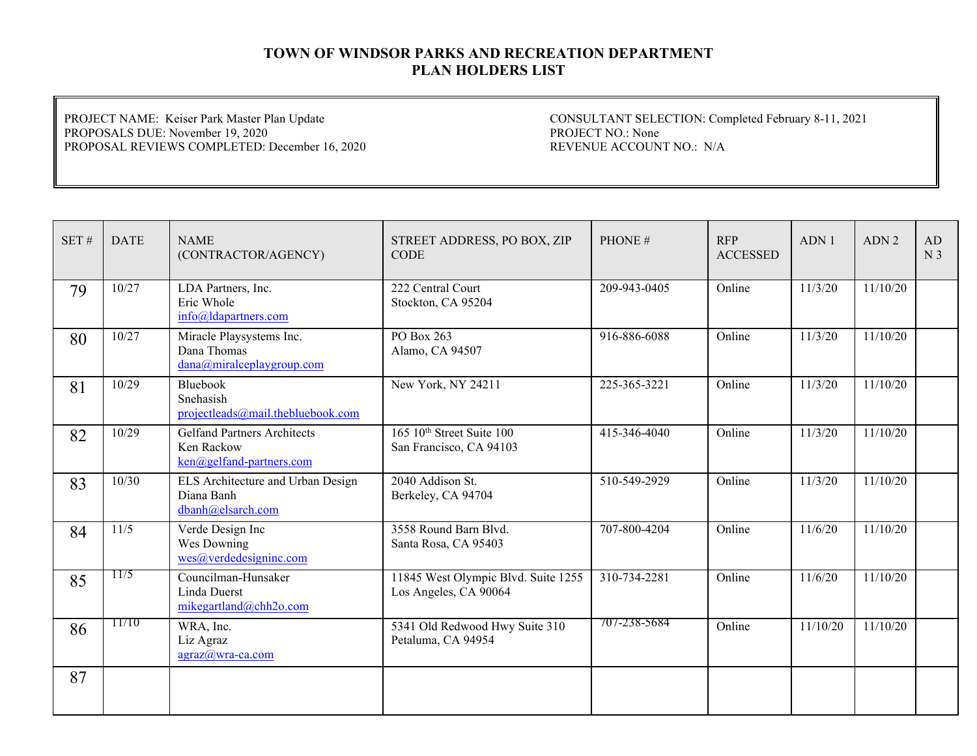PROJECT NAME: Keiser Park Master Plan Update PROPOSALS DUE: November 19, 2020 PROPOSAL REVIEWS COMPLETED: December 16, 2020

| $\operatorname{SET}$ # | <b>DATE</b> | <b>NAME</b><br>(CONTRACTOR/AGENCY)                                           | STREET ADDRESS, PO BOX, ZIP<br><b>CODE</b>                       | PHONE#       | <b>RFP</b><br><b>ACCESSED</b> | ADN 1    | ADN <sub>2</sub> | AD<br>N <sub>3</sub> |
|------------------------|-------------|------------------------------------------------------------------------------|------------------------------------------------------------------|--------------|-------------------------------|----------|------------------|----------------------|
| 79                     | 10/27       | LDA Partners, Inc.<br>Eric Whole<br>info@ldapartners.com                     | 222 Central Court<br>Stockton, CA 95204                          | 209-943-0405 | Online                        | 11/3/20  | 11/10/20         |                      |
| 80                     | 10/27       | Miracle Playsystems Inc.<br>Dana Thomas<br>dana@miralceplaygroup.com         | PO Box 263<br>Alamo, CA 94507                                    | 916-886-6088 | Online                        | 11/3/20  | 11/10/20         |                      |
| 81                     | 10/29       | Bluebook<br>Snehasish<br>projectleads@mail.thebluebook.com                   | New York, NY 24211                                               | 225-365-3221 | Online                        | 11/3/20  | 11/10/20         |                      |
| 82                     | 10/29       | <b>Gelfand Partners Architects</b><br>Ken Rackow<br>ken@gelfand-partners.com | 165 10 <sup>th</sup> Street Suite 100<br>San Francisco, CA 94103 | 415-346-4040 | Online                        | 11/3/20  | 11/10/20         |                      |
| 83                     | 10/30       | ELS Architecture and Urban Design<br>Diana Banh<br>dbanh@elsarch.com         | 2040 Addison St.<br>Berkeley, CA 94704                           | 510-549-2929 | Online                        | 11/3/20  | 11/10/20         |                      |
| 84                     | 11/5        | Verde Design Inc<br>Wes Downing<br>wes@verdedesigninc.com                    | 3558 Round Barn Blvd.<br>Santa Rosa, CA 95403                    | 707-800-4204 | Online                        | 11/6/20  | 11/10/20         |                      |
| 85                     | 11/5        | Councilman-Hunsaker<br>Linda Duerst<br>mikegartland@chh2o.com                | 11845 West Olympic Blvd. Suite 1255<br>Los Angeles, CA 90064     | 310-734-2281 | Online                        | 11/6/20  | 11/10/20         |                      |
| 86                     | 11/10       | WRA, Inc.<br>Liz Agraz<br>agraz@wra-ca.com                                   | 5341 Old Redwood Hwy Suite 310<br>Petaluma, CA 94954             | 707-238-5684 | Online                        | 11/10/20 | 11/10/20         |                      |
| 87                     |             |                                                                              |                                                                  |              |                               |          |                  |                      |